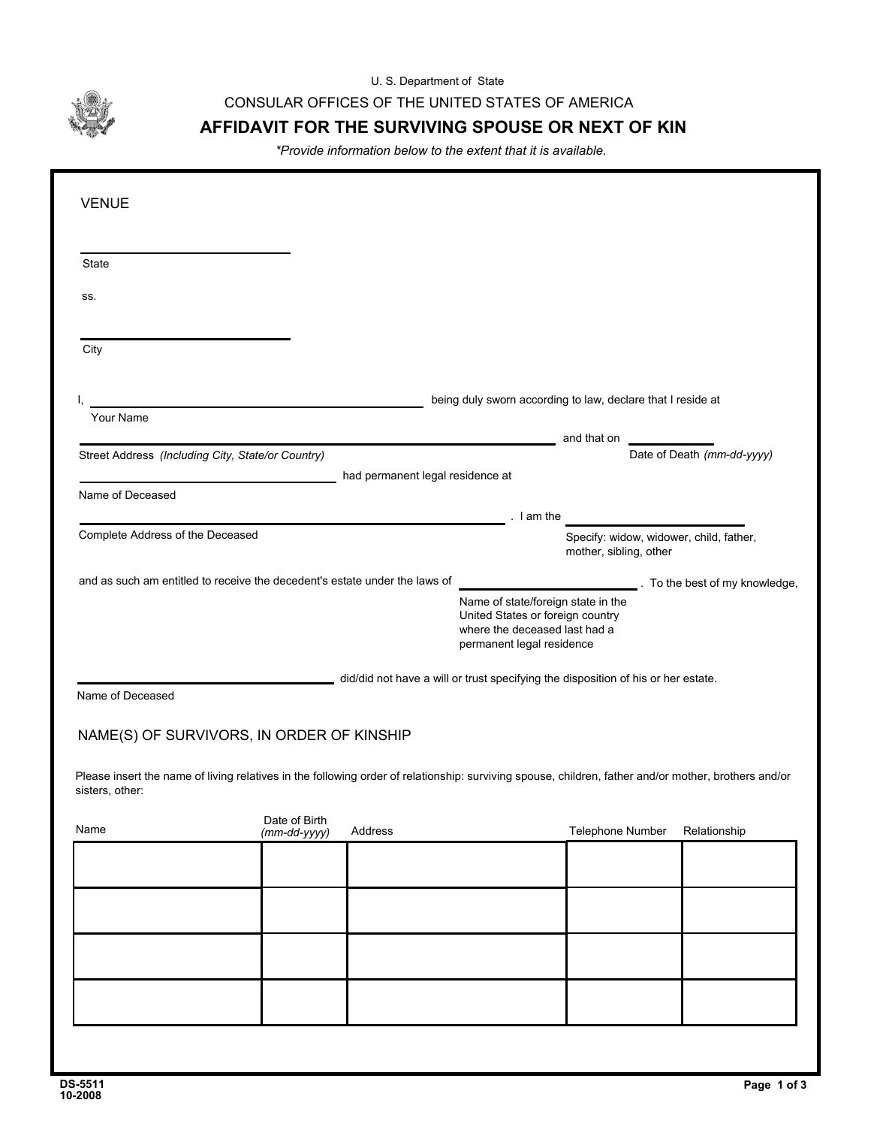U. S. Department of State

CONSULAR OFFICES OF THE UNITED STATES OF AMERICA

## **AFFIDAVIT FOR THE SURVIVING SPOUSE OR NEXT OF KIN**

*\*Provide information below to the extent that it is available.*

| <b>VENUE</b>                                                               |                               |                                                                                   |                                                                                                                                      |                        |                                                                                                                                                      |
|----------------------------------------------------------------------------|-------------------------------|-----------------------------------------------------------------------------------|--------------------------------------------------------------------------------------------------------------------------------------|------------------------|------------------------------------------------------------------------------------------------------------------------------------------------------|
| State                                                                      |                               |                                                                                   |                                                                                                                                      |                        |                                                                                                                                                      |
| SS.                                                                        |                               |                                                                                   |                                                                                                                                      |                        |                                                                                                                                                      |
| City                                                                       |                               |                                                                                   |                                                                                                                                      |                        |                                                                                                                                                      |
|                                                                            |                               |                                                                                   | being duly sworn according to law, declare that I reside at                                                                          |                        |                                                                                                                                                      |
| Your Name                                                                  |                               |                                                                                   |                                                                                                                                      | and that on            |                                                                                                                                                      |
| Street Address (Including City, State/or Country)                          |                               | had permanent legal residence at                                                  |                                                                                                                                      |                        | Date of Death (mm-dd-yyyy)                                                                                                                           |
| Name of Deceased                                                           |                               |                                                                                   |                                                                                                                                      |                        |                                                                                                                                                      |
|                                                                            |                               |                                                                                   | $l$ am the                                                                                                                           |                        |                                                                                                                                                      |
| Complete Address of the Deceased                                           |                               |                                                                                   |                                                                                                                                      | mother, sibling, other | Specify: widow, widower, child, father,                                                                                                              |
| and as such am entitled to receive the decedent's estate under the laws of |                               |                                                                                   |                                                                                                                                      |                        | To the best of my knowledge,                                                                                                                         |
|                                                                            |                               |                                                                                   | Name of state/foreign state in the<br>United States or foreign country<br>where the deceased last had a<br>permanent legal residence |                        |                                                                                                                                                      |
|                                                                            |                               | did/did not have a will or trust specifying the disposition of his or her estate. |                                                                                                                                      |                        |                                                                                                                                                      |
| Name of Deceased                                                           |                               |                                                                                   |                                                                                                                                      |                        |                                                                                                                                                      |
| NAME(S) OF SURVIVORS, IN ORDER OF KINSHIP                                  |                               |                                                                                   |                                                                                                                                      |                        |                                                                                                                                                      |
| sisters, other:                                                            |                               |                                                                                   |                                                                                                                                      |                        | Please insert the name of living relatives in the following order of relationship: surviving spouse, children, father and/or mother, brothers and/or |
| Name                                                                       | Date of Birth<br>(mm-dd-yyyy) | Address                                                                           |                                                                                                                                      | Telephone Number       | Relationship                                                                                                                                         |
|                                                                            |                               |                                                                                   |                                                                                                                                      |                        |                                                                                                                                                      |
|                                                                            |                               |                                                                                   |                                                                                                                                      |                        |                                                                                                                                                      |
|                                                                            |                               |                                                                                   |                                                                                                                                      |                        |                                                                                                                                                      |
|                                                                            |                               |                                                                                   |                                                                                                                                      |                        |                                                                                                                                                      |
|                                                                            |                               |                                                                                   |                                                                                                                                      |                        |                                                                                                                                                      |
|                                                                            |                               |                                                                                   |                                                                                                                                      |                        |                                                                                                                                                      |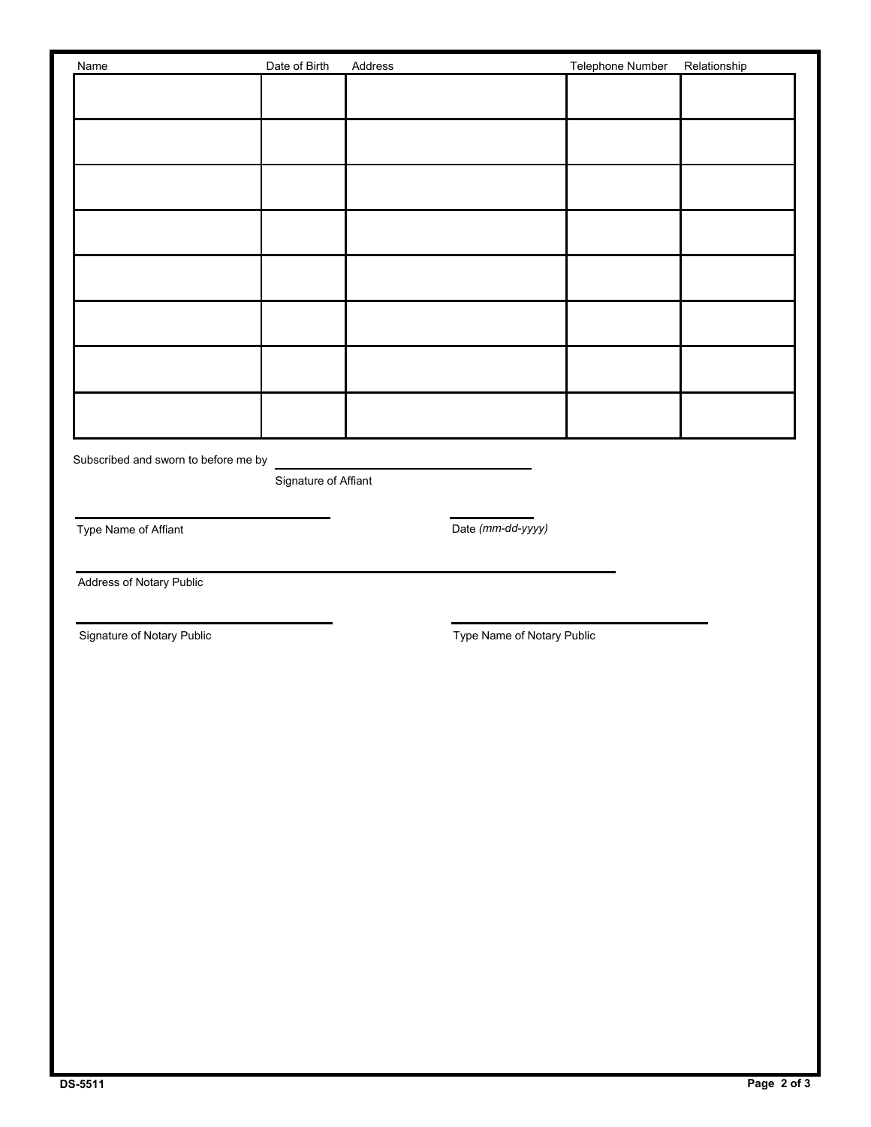| Name | Date of Birth | Address | Telephone Number | Relationship |
|------|---------------|---------|------------------|--------------|
|      |               |         |                  |              |
|      |               |         |                  |              |
|      |               |         |                  |              |
|      |               |         |                  |              |
|      |               |         |                  |              |
|      |               |         |                  |              |
|      |               |         |                  |              |
|      |               |         |                  |              |
|      |               |         |                  |              |

Subscribed and sworn to before me by

Signature of Affiant

Type Name of Affiant

*(mm-dd-yyyy)*

Address of Notary Public

Signature of Notary Public **Type Name of Notary Public** Signature of Notary Public